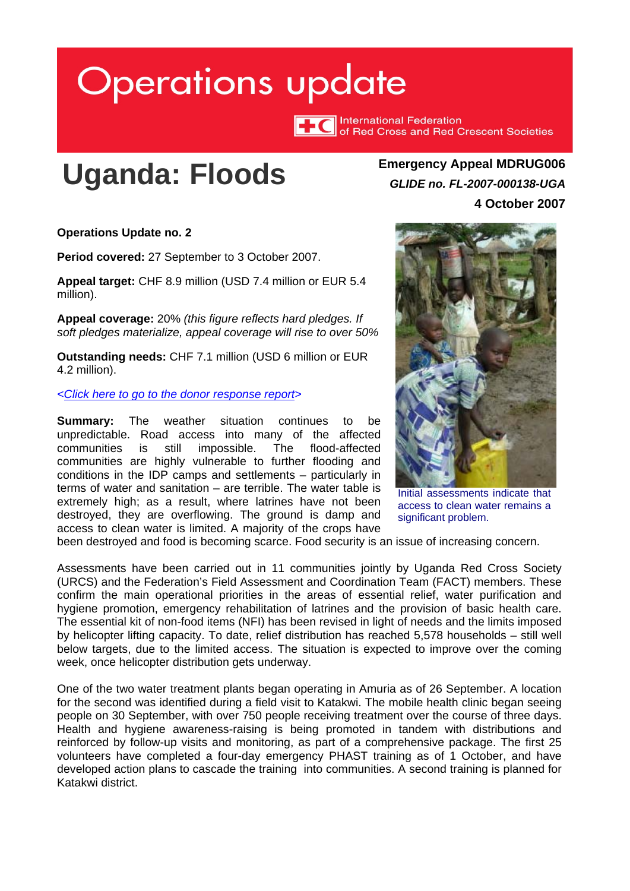# <span id="page-0-0"></span>**Operations update**

TTC International Federation<br>TTC of Red Cross and Red Crescent Societies

# **Uganda: Floods Emergency Appeal MDRUG006**

*GLIDE no. FL-2007-000138-UGA* **4 October 2007**

**Operations Update no. 2** 

**Period covered:** 27 September to 3 October 2007.

**Appeal target:** CHF 8.9 million (USD 7.4 million or EUR 5.4 million).

**Appeal coverage:** 20% *(this figure reflects hard pledges. If soft pledges materialize, appeal coverage will rise to over 50%* 

**Outstanding needs:** CHF 7.1 million (USD 6 million or EUR 4.2 million).

*[<Click here to go to the donor response report>](http://www.ifrc.org/docs/appeals/Active/MDRUG006.pdf)* 

**Summary:** The weather situation continues to be unpredictable. Road access into many of the affected communities is still impossible. The flood-affected communities are highly vulnerable to further flooding and conditions in the IDP camps and settlements – particularly in terms of water and sanitation – are terrible. The water table is extremely high; as a result, where latrines have not been destroyed, they are overflowing. The ground is damp and access to clean water is limited. A majority of the crops have



Initial assessments indicate that access to clean water remains a significant problem.

been destroyed and food is becoming scarce. Food security is an issue of increasing concern.

Assessments have been carried out in 11 communities jointly by Uganda Red Cross Society (URCS) and the Federation's Field Assessment and Coordination Team (FACT) members. These confirm the main operational priorities in the areas of essential relief, water purification and hygiene promotion, emergency rehabilitation of latrines and the provision of basic health care. The essential kit of non-food items (NFI) has been revised in light of needs and the limits imposed by helicopter lifting capacity. To date, relief distribution has reached 5,578 households – still well below targets, due to the limited access. The situation is expected to improve over the coming week, once helicopter distribution gets underway.

One of the two water treatment plants began operating in Amuria as of 26 September. A location for the second was identified during a field visit to Katakwi. The mobile health clinic began seeing people on 30 September, with over 750 people receiving treatment over the course of three days. Health and hygiene awareness-raising is being promoted in tandem with distributions and reinforced by follow-up visits and monitoring, as part of a comprehensive package. The first 25 volunteers have completed a four-day emergency PHAST training as of 1 October, and have developed action plans to cascade the training into communities. A second training is planned for Katakwi district.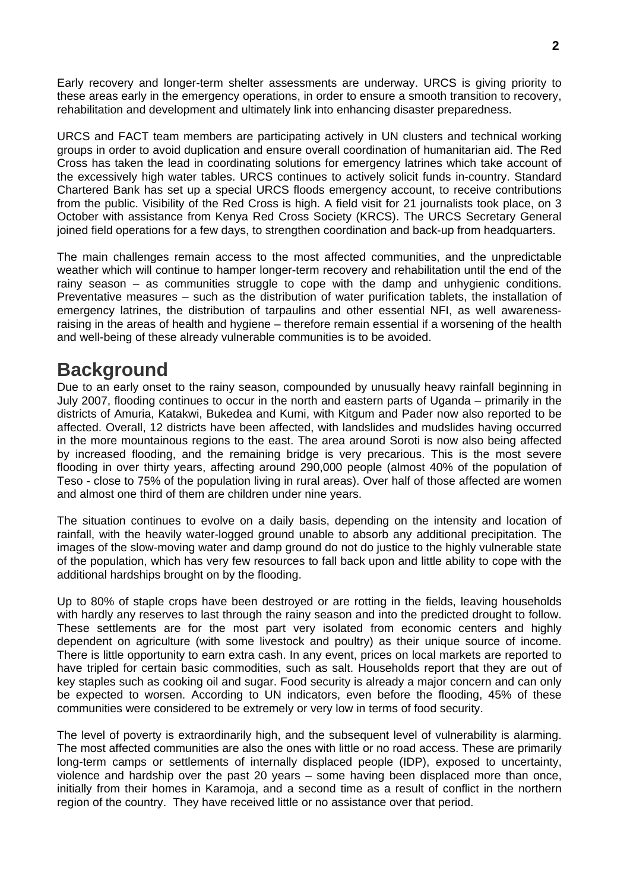Early recovery and longer-term shelter assessments are underway. URCS is giving priority to these areas early in the emergency operations, in order to ensure a smooth transition to recovery, rehabilitation and development and ultimately link into enhancing disaster preparedness.

URCS and FACT team members are participating actively in UN clusters and technical working groups in order to avoid duplication and ensure overall coordination of humanitarian aid. The Red Cross has taken the lead in coordinating solutions for emergency latrines which take account of the excessively high water tables. URCS continues to actively solicit funds in-country. Standard Chartered Bank has set up a special URCS floods emergency account, to receive contributions from the public. Visibility of the Red Cross is high. A field visit for 21 journalists took place, on 3 October with assistance from Kenya Red Cross Society (KRCS). The URCS Secretary General joined field operations for a few days, to strengthen coordination and back-up from headquarters.

The main challenges remain access to the most affected communities, and the unpredictable weather which will continue to hamper longer-term recovery and rehabilitation until the end of the rainy season – as communities struggle to cope with the damp and unhygienic conditions. Preventative measures – such as the distribution of water purification tablets, the installation of emergency latrines, the distribution of tarpaulins and other essential NFI, as well awarenessraising in the areas of health and hygiene – therefore remain essential if a worsening of the health and well-being of these already vulnerable communities is to be avoided.

### **Background**

Due to an early onset to the rainy season, compounded by unusually heavy rainfall beginning in July 2007, flooding continues to occur in the north and eastern parts of Uganda – primarily in the districts of Amuria, Katakwi, Bukedea and Kumi, with Kitgum and Pader now also reported to be affected. Overall, 12 districts have been affected, with landslides and mudslides having occurred in the more mountainous regions to the east. The area around Soroti is now also being affected by increased flooding, and the remaining bridge is very precarious. This is the most severe flooding in over thirty years, affecting around 290,000 people (almost 40% of the population of Teso - close to 75% of the population living in rural areas). Over half of those affected are women and almost one third of them are children under nine years.

The situation continues to evolve on a daily basis, depending on the intensity and location of rainfall, with the heavily water-logged ground unable to absorb any additional precipitation. The images of the slow-moving water and damp ground do not do justice to the highly vulnerable state of the population, which has very few resources to fall back upon and little ability to cope with the additional hardships brought on by the flooding.

Up to 80% of staple crops have been destroyed or are rotting in the fields, leaving households with hardly any reserves to last through the rainy season and into the predicted drought to follow. These settlements are for the most part very isolated from economic centers and highly dependent on agriculture (with some livestock and poultry) as their unique source of income. There is little opportunity to earn extra cash. In any event, prices on local markets are reported to have tripled for certain basic commodities, such as salt. Households report that they are out of key staples such as cooking oil and sugar. Food security is already a major concern and can only be expected to worsen. According to UN indicators, even before the flooding, 45% of these communities were considered to be extremely or very low in terms of food security.

The level of poverty is extraordinarily high, and the subsequent level of vulnerability is alarming. The most affected communities are also the ones with little or no road access. These are primarily long-term camps or settlements of internally displaced people (IDP), exposed to uncertainty, violence and hardship over the past 20 years – some having been displaced more than once, initially from their homes in Karamoja, and a second time as a result of conflict in the northern region of the country. They have received little or no assistance over that period.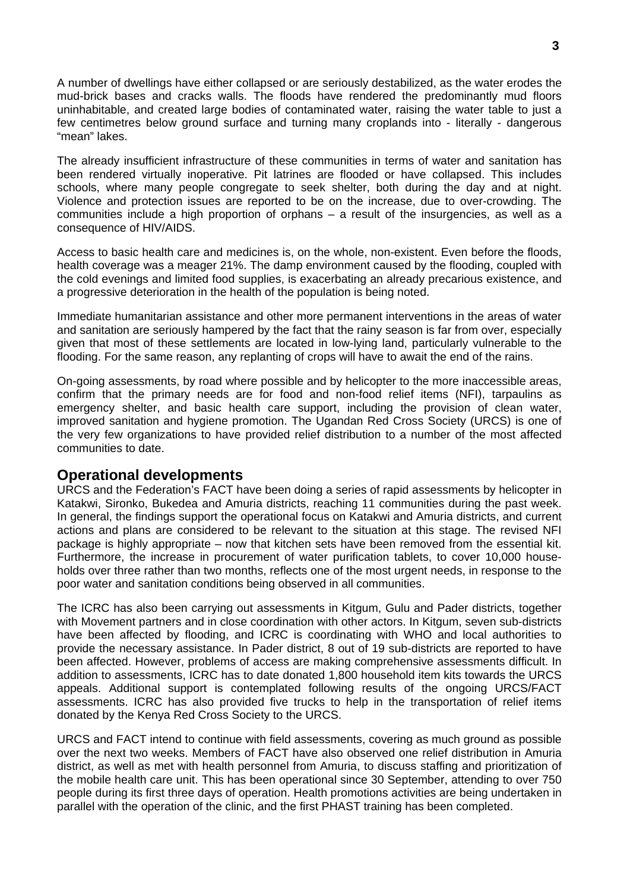A number of dwellings have either collapsed or are seriously destabilized, as the water erodes the mud-brick bases and cracks walls. The floods have rendered the predominantly mud floors uninhabitable, and created large bodies of contaminated water, raising the water table to just a few centimetres below ground surface and turning many croplands into - literally - dangerous "mean" lakes.

The already insufficient infrastructure of these communities in terms of water and sanitation has been rendered virtually inoperative. Pit latrines are flooded or have collapsed. This includes schools, where many people congregate to seek shelter, both during the day and at night. Violence and protection issues are reported to be on the increase, due to over-crowding. The communities include a high proportion of orphans – a result of the insurgencies, as well as a consequence of HIV/AIDS.

Access to basic health care and medicines is, on the whole, non-existent. Even before the floods, health coverage was a meager 21%. The damp environment caused by the flooding, coupled with the cold evenings and limited food supplies, is exacerbating an already precarious existence, and a progressive deterioration in the health of the population is being noted.

Immediate humanitarian assistance and other more permanent interventions in the areas of water and sanitation are seriously hampered by the fact that the rainy season is far from over, especially given that most of these settlements are located in low-lying land, particularly vulnerable to the flooding. For the same reason, any replanting of crops will have to await the end of the rains.

On-going assessments, by road where possible and by helicopter to the more inaccessible areas, confirm that the primary needs are for food and non-food relief items (NFI), tarpaulins as emergency shelter, and basic health care support, including the provision of clean water, improved sanitation and hygiene promotion. The Ugandan Red Cross Society (URCS) is one of the very few organizations to have provided relief distribution to a number of the most affected communities to date.

#### **Operational developments**

URCS and the Federation's FACT have been doing a series of rapid assessments by helicopter in Katakwi, Sironko, Bukedea and Amuria districts, reaching 11 communities during the past week. In general, the findings support the operational focus on Katakwi and Amuria districts, and current actions and plans are considered to be relevant to the situation at this stage. The revised NFI package is highly appropriate – now that kitchen sets have been removed from the essential kit. Furthermore, the increase in procurement of water purification tablets, to cover 10,000 households over three rather than two months, reflects one of the most urgent needs, in response to the poor water and sanitation conditions being observed in all communities.

The ICRC has also been carrying out assessments in Kitgum, Gulu and Pader districts, together with Movement partners and in close coordination with other actors. In Kitgum, seven sub-districts have been affected by flooding, and ICRC is coordinating with WHO and local authorities to provide the necessary assistance. In Pader district, 8 out of 19 sub-districts are reported to have been affected. However, problems of access are making comprehensive assessments difficult. In addition to assessments, ICRC has to date donated 1,800 household item kits towards the URCS appeals. Additional support is contemplated following results of the ongoing URCS/FACT assessments. ICRC has also provided five trucks to help in the transportation of relief items donated by the Kenya Red Cross Society to the URCS.

URCS and FACT intend to continue with field assessments, covering as much ground as possible over the next two weeks. Members of FACT have also observed one relief distribution in Amuria district, as well as met with health personnel from Amuria, to discuss staffing and prioritization of the mobile health care unit. This has been operational since 30 September, attending to over 750 people during its first three days of operation. Health promotions activities are being undertaken in parallel with the operation of the clinic, and the first PHAST training has been completed.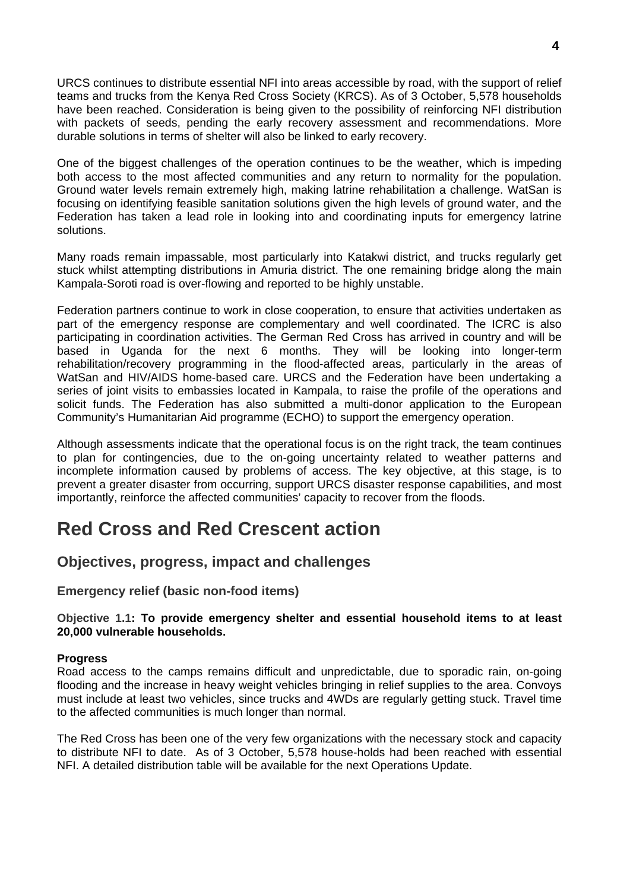URCS continues to distribute essential NFI into areas accessible by road, with the support of relief teams and trucks from the Kenya Red Cross Society (KRCS). As of 3 October, 5,578 households have been reached. Consideration is being given to the possibility of reinforcing NFI distribution with packets of seeds, pending the early recovery assessment and recommendations. More durable solutions in terms of shelter will also be linked to early recovery.

One of the biggest challenges of the operation continues to be the weather, which is impeding both access to the most affected communities and any return to normality for the population. Ground water levels remain extremely high, making latrine rehabilitation a challenge. WatSan is focusing on identifying feasible sanitation solutions given the high levels of ground water, and the Federation has taken a lead role in looking into and coordinating inputs for emergency latrine solutions.

Many roads remain impassable, most particularly into Katakwi district, and trucks regularly get stuck whilst attempting distributions in Amuria district. The one remaining bridge along the main Kampala-Soroti road is over-flowing and reported to be highly unstable.

Federation partners continue to work in close cooperation, to ensure that activities undertaken as part of the emergency response are complementary and well coordinated. The ICRC is also participating in coordination activities. The German Red Cross has arrived in country and will be based in Uganda for the next 6 months. They will be looking into longer-term rehabilitation/recovery programming in the flood-affected areas, particularly in the areas of WatSan and HIV/AIDS home-based care. URCS and the Federation have been undertaking a series of joint visits to embassies located in Kampala, to raise the profile of the operations and solicit funds. The Federation has also submitted a multi-donor application to the European Community's Humanitarian Aid programme (ECHO) to support the emergency operation.

Although assessments indicate that the operational focus is on the right track, the team continues to plan for contingencies, due to the on-going uncertainty related to weather patterns and incomplete information caused by problems of access. The key objective, at this stage, is to prevent a greater disaster from occurring, support URCS disaster response capabilities, and most importantly, reinforce the affected communities' capacity to recover from the floods.

## **Red Cross and Red Crescent action**

#### **Objectives, progress, impact and challenges**

#### **Emergency relief (basic non-food items)**

#### **Objective 1.1: To provide emergency shelter and essential household items to at least 20,000 vulnerable households.**

#### **Progress**

Road access to the camps remains difficult and unpredictable, due to sporadic rain, on-going flooding and the increase in heavy weight vehicles bringing in relief supplies to the area. Convoys must include at least two vehicles, since trucks and 4WDs are regularly getting stuck. Travel time to the affected communities is much longer than normal.

The Red Cross has been one of the very few organizations with the necessary stock and capacity to distribute NFI to date. As of 3 October, 5,578 house-holds had been reached with essential NFI. A detailed distribution table will be available for the next Operations Update.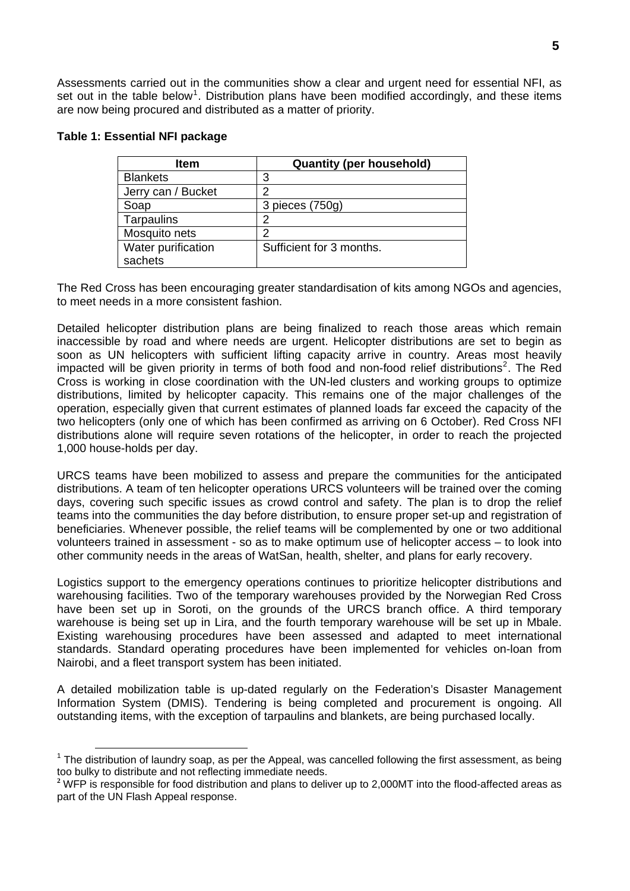Assessments carried out in the communities show a clear and urgent need for essential NFI, as set out in the table below<sup>[1](#page-4-0)</sup>. Distribution plans have been modified accordingly, and these items are now being procured and distributed as a matter of priority.

| Item               | <b>Quantity (per household)</b> |
|--------------------|---------------------------------|
| <b>Blankets</b>    | 3                               |
| Jerry can / Bucket |                                 |
| Soap               | 3 pieces (750g)                 |
| Tarpaulins         |                                 |
| Mosquito nets      | ◠                               |
| Water purification | Sufficient for 3 months.        |
| sachets            |                                 |

#### **Table 1: Essential NFI package**

The Red Cross has been encouraging greater standardisation of kits among NGOs and agencies, to meet needs in a more consistent fashion.

Detailed helicopter distribution plans are being finalized to reach those areas which remain inaccessible by road and where needs are urgent. Helicopter distributions are set to begin as soon as UN helicopters with sufficient lifting capacity arrive in country. Areas most heavily impacted will be given priority in terms of both food and non-food relief distributions<sup>[2](#page-4-1)</sup>. The Red Cross is working in close coordination with the UN-led clusters and working groups to optimize distributions, limited by helicopter capacity. This remains one of the major challenges of the operation, especially given that current estimates of planned loads far exceed the capacity of the two helicopters (only one of which has been confirmed as arriving on 6 October). Red Cross NFI distributions alone will require seven rotations of the helicopter, in order to reach the projected 1,000 house-holds per day.

URCS teams have been mobilized to assess and prepare the communities for the anticipated distributions. A team of ten helicopter operations URCS volunteers will be trained over the coming days, covering such specific issues as crowd control and safety. The plan is to drop the relief teams into the communities the day before distribution, to ensure proper set-up and registration of beneficiaries. Whenever possible, the relief teams will be complemented by one or two additional volunteers trained in assessment - so as to make optimum use of helicopter access – to look into other community needs in the areas of WatSan, health, shelter, and plans for early recovery.

Logistics support to the emergency operations continues to prioritize helicopter distributions and warehousing facilities. Two of the temporary warehouses provided by the Norwegian Red Cross have been set up in Soroti, on the grounds of the URCS branch office. A third temporary warehouse is being set up in Lira, and the fourth temporary warehouse will be set up in Mbale. Existing warehousing procedures have been assessed and adapted to meet international standards. Standard operating procedures have been implemented for vehicles on-loan from Nairobi, and a fleet transport system has been initiated.

A detailed mobilization table is up-dated regularly on the Federation's Disaster Management Information System (DMIS). Tendering is being completed and procurement is ongoing. All outstanding items, with the exception of tarpaulins and blankets, are being purchased locally.

<span id="page-4-0"></span>**<sup>1</sup>**<br><sup>1</sup> The distribution of laundry soap, as per the Appeal, was cancelled following the first assessment, as being too bulky to distribute and not reflecting immediate needs.

<span id="page-4-1"></span>**<sup>2</sup>** WFP is responsible for food distribution and plans to deliver up to 2,000MT into the flood-affected areas as part of the UN Flash Appeal response.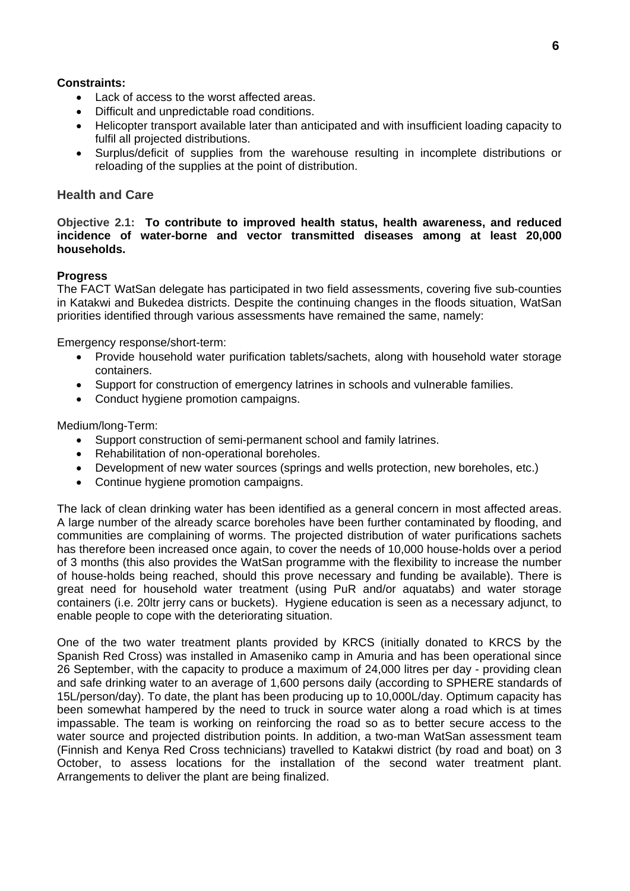#### **Constraints:**

- Lack of access to the worst affected areas.
- Difficult and unpredictable road conditions.
- Helicopter transport available later than anticipated and with insufficient loading capacity to fulfil all projected distributions.
- Surplus/deficit of supplies from the warehouse resulting in incomplete distributions or reloading of the supplies at the point of distribution.

#### **Health and Care**

#### **Objective 2.1: To contribute to improved health status, health awareness, and reduced incidence of water-borne and vector transmitted diseases among at least 20,000 households.**

#### **Progress**

The FACT WatSan delegate has participated in two field assessments, covering five sub-counties in Katakwi and Bukedea districts. Despite the continuing changes in the floods situation, WatSan priorities identified through various assessments have remained the same, namely:

Emergency response/short-term:

- Provide household water purification tablets/sachets, along with household water storage containers.
- Support for construction of emergency latrines in schools and vulnerable families.
- Conduct hygiene promotion campaigns.

Medium/long-Term:

- Support construction of semi-permanent school and family latrines.
- Rehabilitation of non-operational boreholes.
- Development of new water sources (springs and wells protection, new boreholes, etc.)
- Continue hygiene promotion campaigns.

The lack of clean drinking water has been identified as a general concern in most affected areas. A large number of the already scarce boreholes have been further contaminated by flooding, and communities are complaining of worms. The projected distribution of water purifications sachets has therefore been increased once again, to cover the needs of 10,000 house-holds over a period of 3 months (this also provides the WatSan programme with the flexibility to increase the number of house-holds being reached, should this prove necessary and funding be available). There is great need for household water treatment (using PuR and/or aquatabs) and water storage containers (i.e. 20ltr jerry cans or buckets). Hygiene education is seen as a necessary adjunct, to enable people to cope with the deteriorating situation.

One of the two water treatment plants provided by KRCS (initially donated to KRCS by the Spanish Red Cross) was installed in Amaseniko camp in Amuria and has been operational since 26 September, with the capacity to produce a maximum of 24,000 litres per day - providing clean and safe drinking water to an average of 1,600 persons daily (according to SPHERE standards of 15L/person/day). To date, the plant has been producing up to 10,000L/day. Optimum capacity has been somewhat hampered by the need to truck in source water along a road which is at times impassable. The team is working on reinforcing the road so as to better secure access to the water source and projected distribution points. In addition, a two-man WatSan assessment team (Finnish and Kenya Red Cross technicians) travelled to Katakwi district (by road and boat) on 3 October, to assess locations for the installation of the second water treatment plant. Arrangements to deliver the plant are being finalized.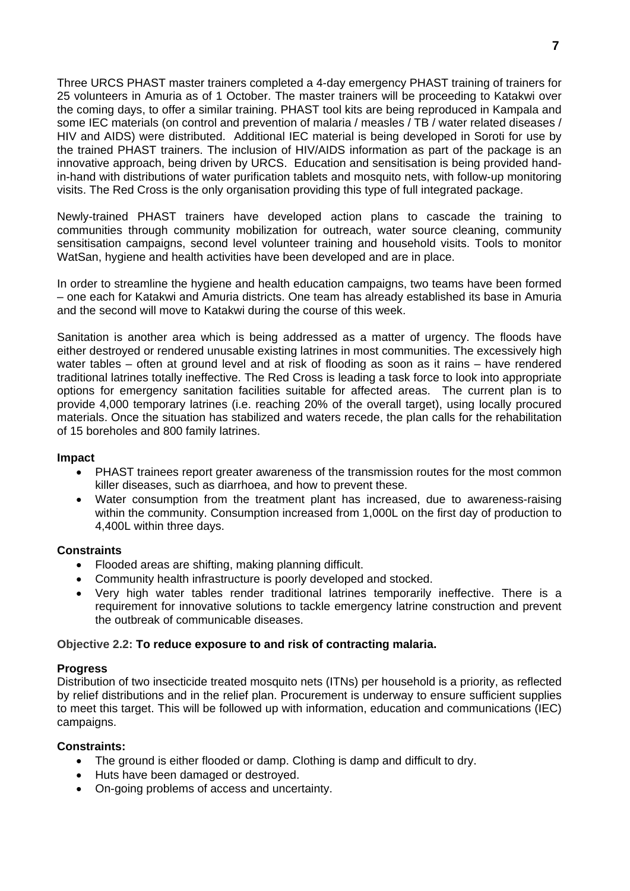Three URCS PHAST master trainers completed a 4-day emergency PHAST training of trainers for 25 volunteers in Amuria as of 1 October. The master trainers will be proceeding to Katakwi over the coming days, to offer a similar training. PHAST tool kits are being reproduced in Kampala and some IEC materials (on control and prevention of malaria / measles / TB / water related diseases / HIV and AIDS) were distributed. Additional IEC material is being developed in Soroti for use by the trained PHAST trainers. The inclusion of HIV/AIDS information as part of the package is an innovative approach, being driven by URCS. Education and sensitisation is being provided handin-hand with distributions of water purification tablets and mosquito nets, with follow-up monitoring visits. The Red Cross is the only organisation providing this type of full integrated package.

Newly-trained PHAST trainers have developed action plans to cascade the training to communities through community mobilization for outreach, water source cleaning, community sensitisation campaigns, second level volunteer training and household visits. Tools to monitor WatSan, hygiene and health activities have been developed and are in place.

In order to streamline the hygiene and health education campaigns, two teams have been formed – one each for Katakwi and Amuria districts. One team has already established its base in Amuria and the second will move to Katakwi during the course of this week.

Sanitation is another area which is being addressed as a matter of urgency. The floods have either destroyed or rendered unusable existing latrines in most communities. The excessively high water tables – often at ground level and at risk of flooding as soon as it rains – have rendered traditional latrines totally ineffective. The Red Cross is leading a task force to look into appropriate options for emergency sanitation facilities suitable for affected areas. The current plan is to provide 4,000 temporary latrines (i.e. reaching 20% of the overall target), using locally procured materials. Once the situation has stabilized and waters recede, the plan calls for the rehabilitation of 15 boreholes and 800 family latrines.

#### **Impact**

- PHAST trainees report greater awareness of the transmission routes for the most common killer diseases, such as diarrhoea, and how to prevent these.
- Water consumption from the treatment plant has increased, due to awareness-raising within the community. Consumption increased from 1,000L on the first day of production to 4,400L within three days.

#### **Constraints**

- Flooded areas are shifting, making planning difficult.
- Community health infrastructure is poorly developed and stocked.
- Very high water tables render traditional latrines temporarily ineffective. There is a requirement for innovative solutions to tackle emergency latrine construction and prevent the outbreak of communicable diseases.

#### **Objective 2.2: To reduce exposure to and risk of contracting malaria.**

#### **Progress**

Distribution of two insecticide treated mosquito nets (ITNs) per household is a priority, as reflected by relief distributions and in the relief plan. Procurement is underway to ensure sufficient supplies to meet this target. This will be followed up with information, education and communications (IEC) campaigns.

#### **Constraints:**

- The ground is either flooded or damp. Clothing is damp and difficult to dry.
- Huts have been damaged or destroyed.
- On-going problems of access and uncertainty.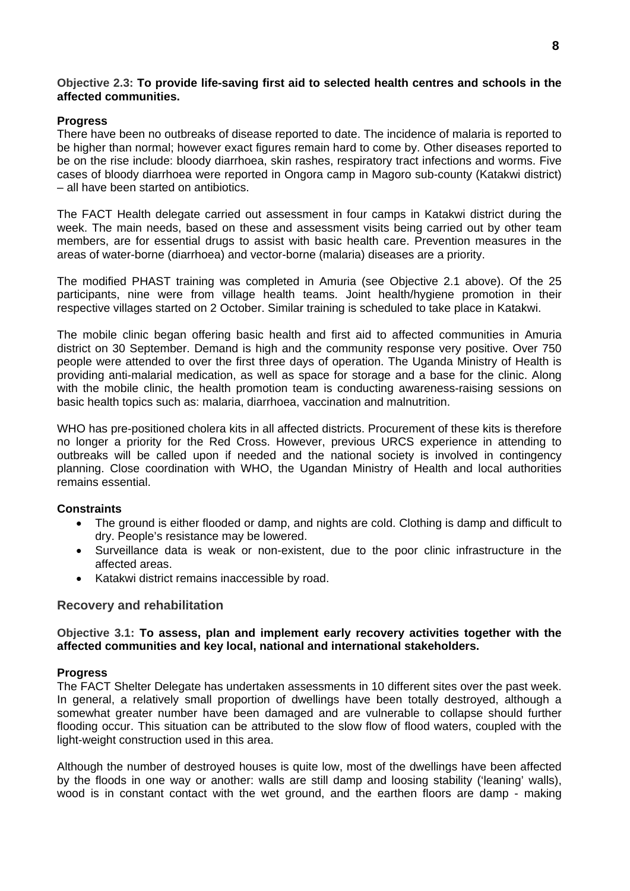#### **Objective 2.3: To provide life-saving first aid to selected health centres and schools in the affected communities.**

#### **Progress**

There have been no outbreaks of disease reported to date. The incidence of malaria is reported to be higher than normal; however exact figures remain hard to come by. Other diseases reported to be on the rise include: bloody diarrhoea, skin rashes, respiratory tract infections and worms. Five cases of bloody diarrhoea were reported in Ongora camp in Magoro sub-county (Katakwi district) – all have been started on antibiotics.

The FACT Health delegate carried out assessment in four camps in Katakwi district during the week. The main needs, based on these and assessment visits being carried out by other team members, are for essential drugs to assist with basic health care. Prevention measures in the areas of water-borne (diarrhoea) and vector-borne (malaria) diseases are a priority.

The modified PHAST training was completed in Amuria (see Objective 2.1 above). Of the 25 participants, nine were from village health teams. Joint health/hygiene promotion in their respective villages started on 2 October. Similar training is scheduled to take place in Katakwi.

The mobile clinic began offering basic health and first aid to affected communities in Amuria district on 30 September. Demand is high and the community response very positive. Over 750 people were attended to over the first three days of operation. The Uganda Ministry of Health is providing anti-malarial medication, as well as space for storage and a base for the clinic. Along with the mobile clinic, the health promotion team is conducting awareness-raising sessions on basic health topics such as: malaria, diarrhoea, vaccination and malnutrition.

WHO has pre-positioned cholera kits in all affected districts. Procurement of these kits is therefore no longer a priority for the Red Cross. However, previous URCS experience in attending to outbreaks will be called upon if needed and the national society is involved in contingency planning. Close coordination with WHO, the Ugandan Ministry of Health and local authorities remains essential.

#### **Constraints**

- The ground is either flooded or damp, and nights are cold. Clothing is damp and difficult to dry. People's resistance may be lowered.
- Surveillance data is weak or non-existent, due to the poor clinic infrastructure in the affected areas.
- Katakwi district remains inaccessible by road.

#### **Recovery and rehabilitation**

#### **Objective 3.1: To assess, plan and implement early recovery activities together with the affected communities and key local, national and international stakeholders.**

#### **Progress**

The FACT Shelter Delegate has undertaken assessments in 10 different sites over the past week. In general, a relatively small proportion of dwellings have been totally destroyed, although a somewhat greater number have been damaged and are vulnerable to collapse should further flooding occur. This situation can be attributed to the slow flow of flood waters, coupled with the light-weight construction used in this area.

Although the number of destroyed houses is quite low, most of the dwellings have been affected by the floods in one way or another: walls are still damp and loosing stability ('leaning' walls), wood is in constant contact with the wet ground, and the earthen floors are damp - making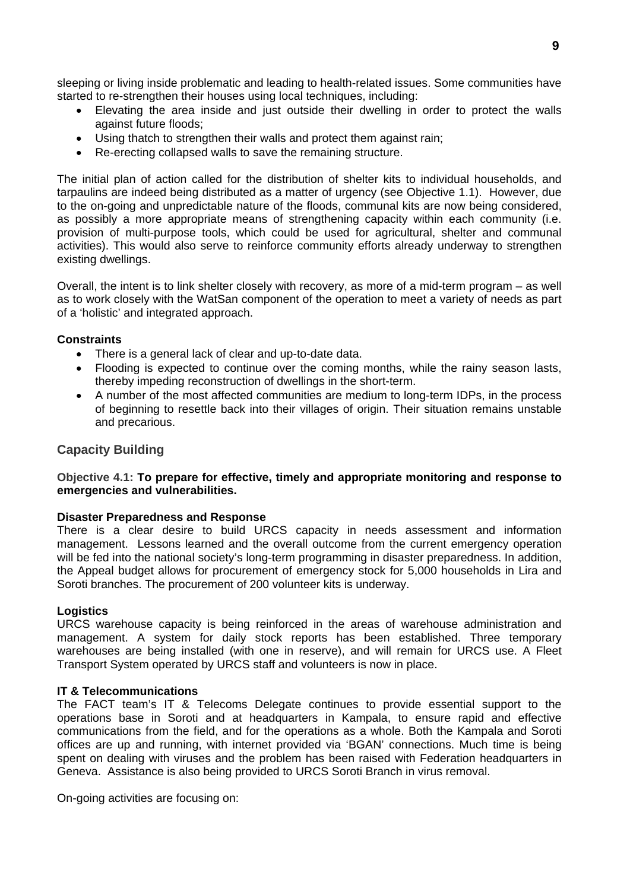sleeping or living inside problematic and leading to health-related issues. Some communities have started to re-strengthen their houses using local techniques, including:

- Elevating the area inside and just outside their dwelling in order to protect the walls against future floods;
- Using thatch to strengthen their walls and protect them against rain;
- Re-erecting collapsed walls to save the remaining structure.

The initial plan of action called for the distribution of shelter kits to individual households, and tarpaulins are indeed being distributed as a matter of urgency (see Objective 1.1). However, due to the on-going and unpredictable nature of the floods, communal kits are now being considered, as possibly a more appropriate means of strengthening capacity within each community (i.e. provision of multi-purpose tools, which could be used for agricultural, shelter and communal activities). This would also serve to reinforce community efforts already underway to strengthen existing dwellings.

Overall, the intent is to link shelter closely with recovery, as more of a mid-term program – as well as to work closely with the WatSan component of the operation to meet a variety of needs as part of a 'holistic' and integrated approach.

#### **Constraints**

- There is a general lack of clear and up-to-date data.
- Flooding is expected to continue over the coming months, while the rainy season lasts, thereby impeding reconstruction of dwellings in the short-term.
- A number of the most affected communities are medium to long-term IDPs, in the process of beginning to resettle back into their villages of origin. Their situation remains unstable and precarious.

#### **Capacity Building**

#### **Objective 4.1: To prepare for effective, timely and appropriate monitoring and response to emergencies and vulnerabilities.**

#### **Disaster Preparedness and Response**

There is a clear desire to build URCS capacity in needs assessment and information management. Lessons learned and the overall outcome from the current emergency operation will be fed into the national society's long-term programming in disaster preparedness. In addition, the Appeal budget allows for procurement of emergency stock for 5,000 households in Lira and Soroti branches. The procurement of 200 volunteer kits is underway.

#### **Logistics**

URCS warehouse capacity is being reinforced in the areas of warehouse administration and management. A system for daily stock reports has been established. Three temporary warehouses are being installed (with one in reserve), and will remain for URCS use. A Fleet Transport System operated by URCS staff and volunteers is now in place.

#### **IT & Telecommunications**

The FACT team's IT & Telecoms Delegate continues to provide essential support to the operations base in Soroti and at headquarters in Kampala, to ensure rapid and effective communications from the field, and for the operations as a whole. Both the Kampala and Soroti offices are up and running, with internet provided via 'BGAN' connections. Much time is being spent on dealing with viruses and the problem has been raised with Federation headquarters in Geneva. Assistance is also being provided to URCS Soroti Branch in virus removal.

On-going activities are focusing on: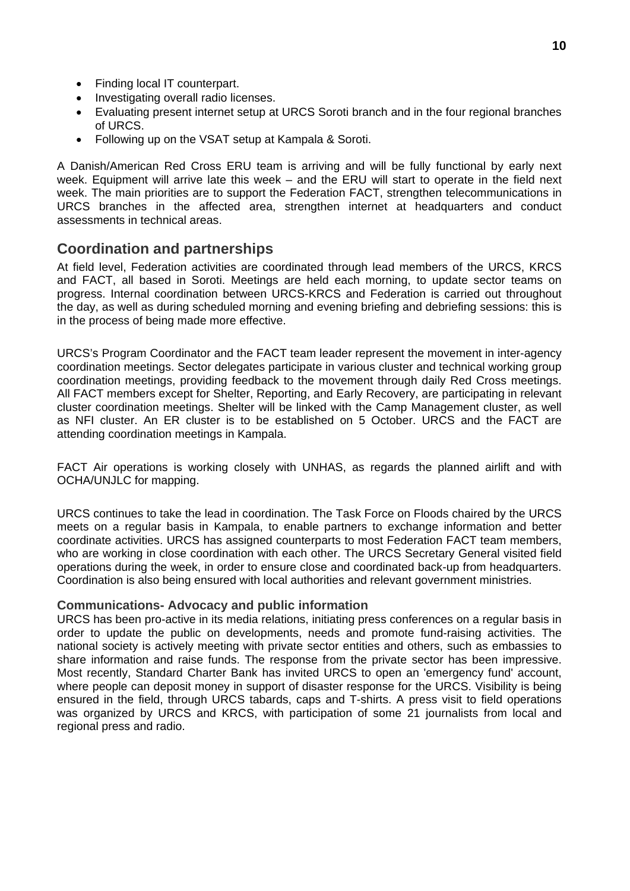- Finding local IT counterpart.
- Investigating overall radio licenses.
- Evaluating present internet setup at URCS Soroti branch and in the four regional branches of URCS.
- Following up on the VSAT setup at Kampala & Soroti.

A Danish/American Red Cross ERU team is arriving and will be fully functional by early next week. Equipment will arrive late this week – and the ERU will start to operate in the field next week. The main priorities are to support the Federation FACT, strengthen telecommunications in URCS branches in the affected area, strengthen internet at headquarters and conduct assessments in technical areas.

#### **Coordination and partnerships**

At field level, Federation activities are coordinated through lead members of the URCS, KRCS and FACT, all based in Soroti. Meetings are held each morning, to update sector teams on progress. Internal coordination between URCS-KRCS and Federation is carried out throughout the day, as well as during scheduled morning and evening briefing and debriefing sessions: this is in the process of being made more effective.

URCS's Program Coordinator and the FACT team leader represent the movement in inter-agency coordination meetings. Sector delegates participate in various cluster and technical working group coordination meetings, providing feedback to the movement through daily Red Cross meetings. All FACT members except for Shelter, Reporting, and Early Recovery, are participating in relevant cluster coordination meetings. Shelter will be linked with the Camp Management cluster, as well as NFI cluster. An ER cluster is to be established on 5 October. URCS and the FACT are attending coordination meetings in Kampala.

FACT Air operations is working closely with UNHAS, as regards the planned airlift and with OCHA/UNJLC for mapping.

URCS continues to take the lead in coordination. The Task Force on Floods chaired by the URCS meets on a regular basis in Kampala, to enable partners to exchange information and better coordinate activities. URCS has assigned counterparts to most Federation FACT team members, who are working in close coordination with each other. The URCS Secretary General visited field operations during the week, in order to ensure close and coordinated back-up from headquarters. Coordination is also being ensured with local authorities and relevant government ministries.

#### **Communications- Advocacy and public information**

URCS has been pro-active in its media relations, initiating press conferences on a regular basis in order to update the public on developments, needs and promote fund-raising activities. The national society is actively meeting with private sector entities and others, such as embassies to share information and raise funds. The response from the private sector has been impressive. Most recently, Standard Charter Bank has invited URCS to open an 'emergency fund' account, where people can deposit money in support of disaster response for the URCS. Visibility is being ensured in the field, through URCS tabards, caps and T-shirts. A press visit to field operations was organized by URCS and KRCS, with participation of some 21 journalists from local and regional press and radio.